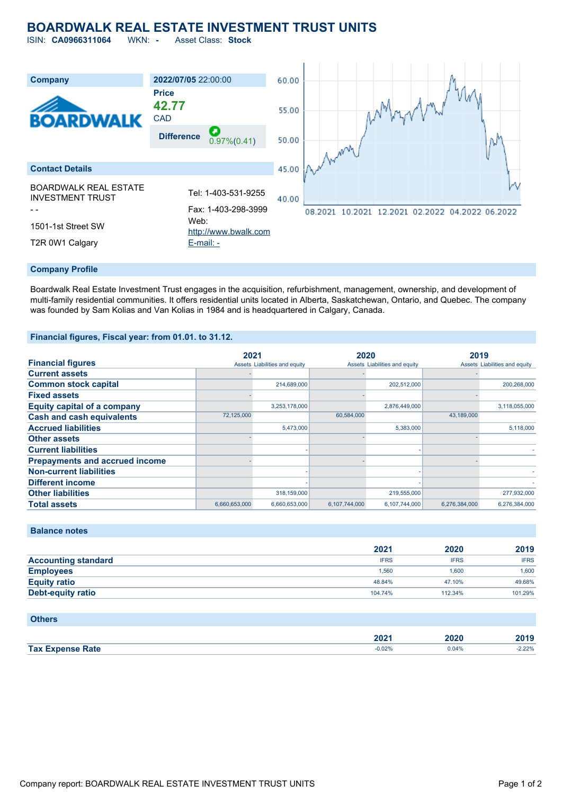# **BOARDWALK REAL ESTATE INVESTMENT TRUST UNITS**

ISIN: **CA0966311064** WKN: **-** Asset Class: **Stock**



#### **Company Profile**

Boardwalk Real Estate Investment Trust engages in the acquisition, refurbishment, management, ownership, and development of multi-family residential communities. It offers residential units located in Alberta, Saskatchewan, Ontario, and Quebec. The company was founded by Sam Kolias and Van Kolias in 1984 and is headquartered in Calgary, Canada.

#### **Financial figures, Fiscal year: from 01.01. to 31.12.**

|                                       | 2021          |                               | 2020          |                               | 2019          |                               |
|---------------------------------------|---------------|-------------------------------|---------------|-------------------------------|---------------|-------------------------------|
| <b>Financial figures</b>              |               | Assets Liabilities and equity |               | Assets Liabilities and equity |               | Assets Liabilities and equity |
| <b>Current assets</b>                 |               |                               |               |                               |               |                               |
| <b>Common stock capital</b>           |               | 214,689,000                   |               | 202,512,000                   |               | 200,268,000                   |
| <b>Fixed assets</b>                   |               |                               |               |                               |               |                               |
| <b>Equity capital of a company</b>    |               | 3,253,178,000                 |               | 2,876,449,000                 |               | 3,118,055,000                 |
| <b>Cash and cash equivalents</b>      | 72,125,000    |                               | 60,584,000    |                               | 43,189,000    |                               |
| <b>Accrued liabilities</b>            |               | 5,473,000                     |               | 5,383,000                     |               | 5,118,000                     |
| <b>Other assets</b>                   |               |                               |               |                               |               |                               |
| <b>Current liabilities</b>            |               |                               |               |                               |               |                               |
| <b>Prepayments and accrued income</b> |               |                               |               |                               |               |                               |
| <b>Non-current liabilities</b>        |               |                               |               |                               |               |                               |
| <b>Different income</b>               |               |                               |               |                               |               |                               |
| <b>Other liabilities</b>              |               | 318,159,000                   |               | 219,555,000                   |               | 277,932,000                   |
| <b>Total assets</b>                   | 6,660,653,000 | 6,660,653,000                 | 6,107,744,000 | 6,107,744,000                 | 6.276.384.000 | 6,276,384,000                 |

## **Balance notes**

|                            | 2021        | 2020        | 2019        |
|----------------------------|-------------|-------------|-------------|
| <b>Accounting standard</b> | <b>IFRS</b> | <b>IFRS</b> | <b>IFRS</b> |
| <b>Employees</b>           | 1.560       | 1.600       | 1.600       |
| <b>Equity ratio</b>        | 48.84%      | 47.10%      | 49.68%      |
| Debt-equity ratio          | 104.74%     | 112.34%     | 101.29%     |

#### **Others**

|                         | nnn-<br>ZUZ | 2020     | $-1$  |
|-------------------------|-------------|----------|-------|
| <b>Tax Expense Rate</b> | 0.02%       | $0.04\%$ | 2.22% |